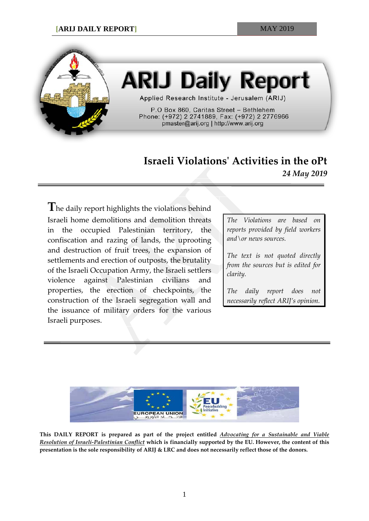

## **ARIJ Daily Report**

Applied Research Institute - Jerusalem (ARIJ)

P.O Box 860, Caritas Street - Bethlehem Phone: (+972) 2 2741889, Fax: (+972) 2 2776966 pmaster@arij.org | http://www.arij.org

## **Israeli Violations' Activities in the oPt** *24 May 2019*

**T**he daily report highlights the violations behind Israeli home demolitions and demolition threats in the occupied Palestinian territory, the confiscation and razing of lands, the uprooting and destruction of fruit trees, the expansion of settlements and erection of outposts, the brutality of the Israeli Occupation Army, the Israeli settlers violence against Palestinian civilians and properties, the erection of checkpoints, the construction of the Israeli segregation wall and the issuance of military orders for the various Israeli purposes.

*The Violations are based on reports provided by field workers and\or news sources.*

*The text is not quoted directly from the sources but is edited for clarity.*

*The daily report does not necessarily reflect ARIJ's opinion.*



**This DAILY REPORT is prepared as part of the project entitled** *Advocating for a Sustainable and Viable Resolution of Israeli-Palestinian Conflict* **which is financially supported by the EU. However, the content of this presentation is the sole responsibility of ARIJ & LRC and does not necessarily reflect those of the donors.**